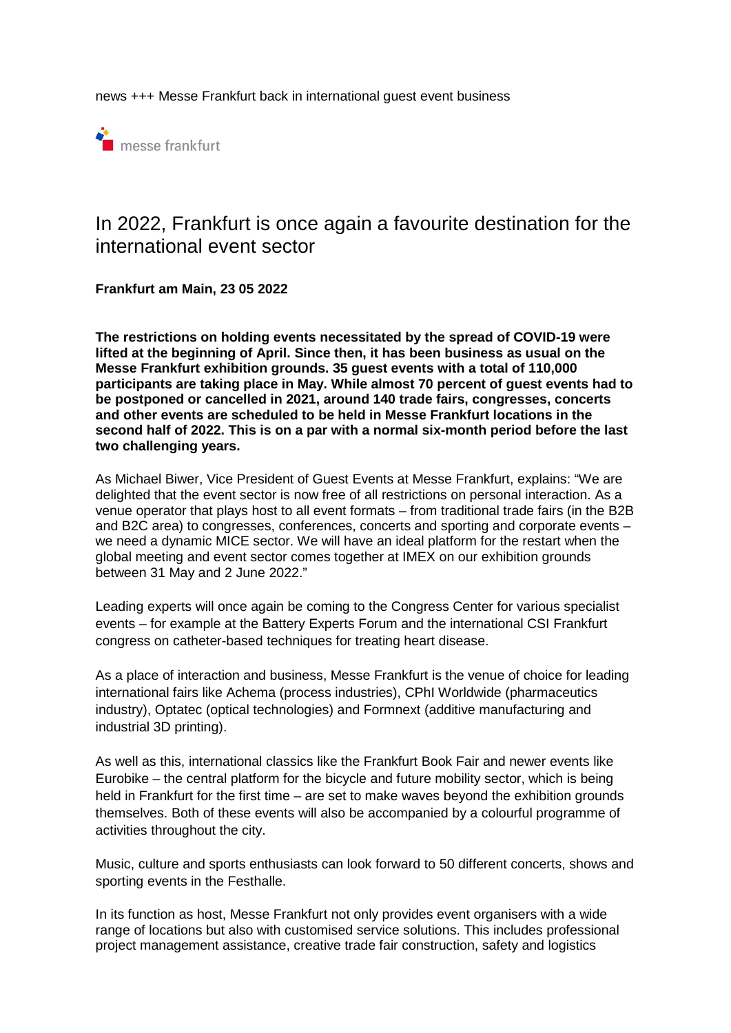news +++ Messe Frankfurt back in international guest event business



## In 2022, Frankfurt is once again a favourite destination for the international event sector

**Frankfurt am Main, 23 05 2022** 

**The restrictions on holding events necessitated by the spread of COVID-19 were lifted at the beginning of April. Since then, it has been business as usual on the Messe Frankfurt exhibition grounds. 35 guest events with a total of 110,000 participants are taking place in May. While almost 70 percent of guest events had to be postponed or cancelled in 2021, around 140 trade fairs, congresses, concerts and other events are scheduled to be held in Messe Frankfurt locations in the second half of 2022. This is on a par with a normal six-month period before the last two challenging years.** 

As Michael Biwer, Vice President of Guest Events at Messe Frankfurt, explains: "We are delighted that the event sector is now free of all restrictions on personal interaction. As a venue operator that plays host to all event formats – from traditional trade fairs (in the B2B and B2C area) to congresses, conferences, concerts and sporting and corporate events – we need a dynamic MICE sector. We will have an ideal platform for the restart when the global meeting and event sector comes together at IMEX on our exhibition grounds between 31 May and 2 June 2022."

Leading experts will once again be coming to the Congress Center for various specialist events – for example at the Battery Experts Forum and the international CSI Frankfurt congress on catheter-based techniques for treating heart disease.

As a place of interaction and business, Messe Frankfurt is the venue of choice for leading international fairs like Achema (process industries), CPhI Worldwide (pharmaceutics industry), Optatec (optical technologies) and Formnext (additive manufacturing and industrial 3D printing).

As well as this, international classics like the Frankfurt Book Fair and newer events like Eurobike – the central platform for the bicycle and future mobility sector, which is being held in Frankfurt for the first time – are set to make waves beyond the exhibition grounds themselves. Both of these events will also be accompanied by a colourful programme of activities throughout the city.

Music, culture and sports enthusiasts can look forward to 50 different concerts, shows and sporting events in the Festhalle.

In its function as host, Messe Frankfurt not only provides event organisers with a wide range of locations but also with customised service solutions. This includes professional project management assistance, creative trade fair construction, safety and logistics